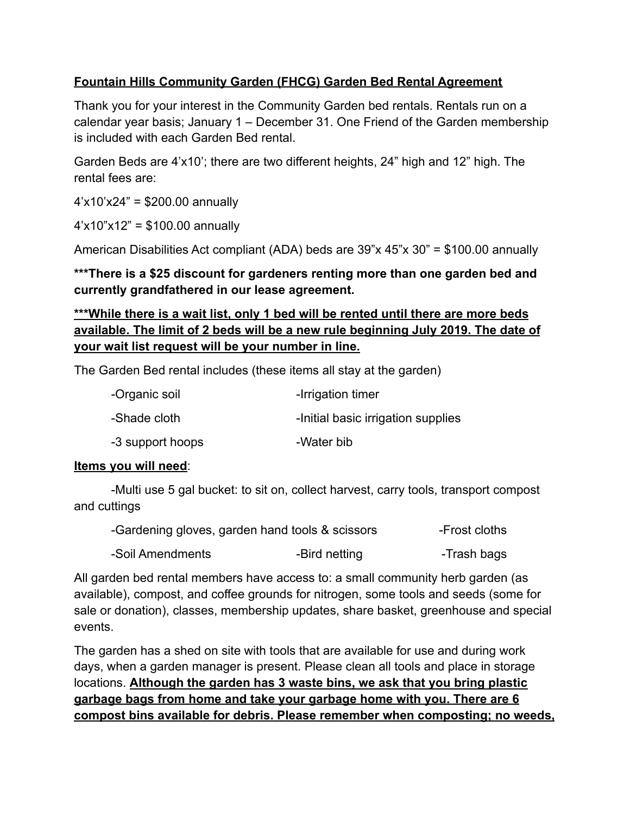## **Fountain Hills Community Garden (FHCG) Garden Bed Rental Agreement**

Thank you for your interest in the Community Garden bed rentals. Rentals run on a calendar year basis; January 1 – December 31. One Friend of the Garden membership is included with each Garden Bed rental.

Garden Beds are 4'x10'; there are two different heights, 24" high and 12" high. The rental fees are:

4'x10'x24" = \$200.00 annually

4'x10"x12" = \$100.00 annually

American Disabilities Act compliant (ADA) beds are 39"x 45"x 30" = \$100.00 annually

**\*\*\*There is a \$25 discount for gardeners renting more than one garden bed and currently grandfathered in our lease agreement.**

## **\*\*\*While there is a wait list, only 1 bed will be rented until there are more beds available. The limit of 2 beds will be a new rule beginning July 2019. The date of your wait list request will be your number in line.**

The Garden Bed rental includes (these items all stay at the garden)

| -Organic soil    | -Irrigation timer                  |
|------------------|------------------------------------|
| -Shade cloth     | -Initial basic irrigation supplies |
| -3 support hoops | -Water bib                         |

#### **Items you will need**:

-Multi use 5 gal bucket: to sit on, collect harvest, carry tools, transport compost and cuttings

| -Gardening gloves, garden hand tools & scissors |               | -Frost cloths |
|-------------------------------------------------|---------------|---------------|
| -Soil Amendments                                | -Bird netting | -Trash bags   |

All garden bed rental members have access to: a small community herb garden (as available), compost, and coffee grounds for nitrogen, some tools and seeds (some for sale or donation), classes, membership updates, share basket, greenhouse and special events.

The garden has a shed on site with tools that are available for use and during work days, when a garden manager is present. Please clean all tools and place in storage locations. **Although the garden has 3 waste bins, we ask that you bring plastic garbage bags from home and take your garbage home with you. There are 6 compost bins available for debris. Please remember when composting; no weeds,**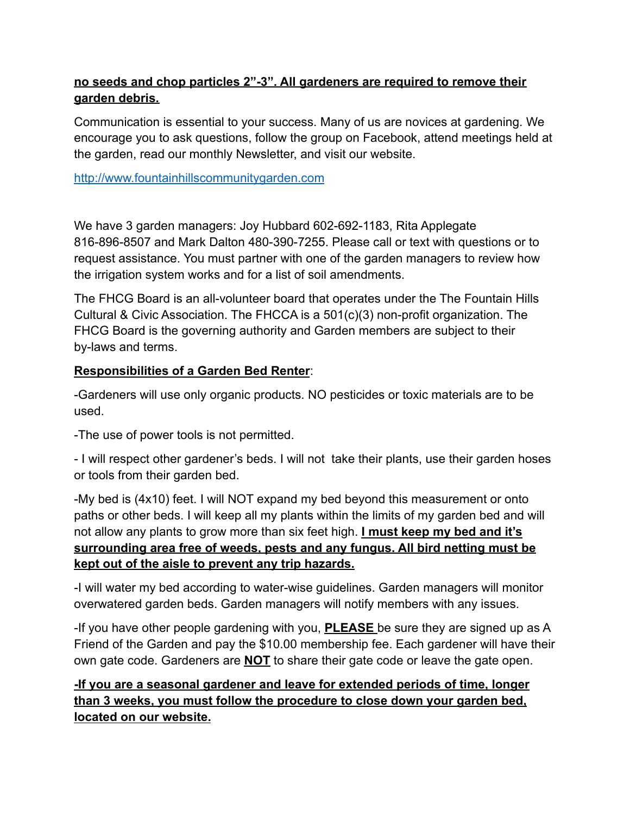## **no seeds and chop particles 2"-3". All gardeners are required to remove their garden debris.**

Communication is essential to your success. Many of us are novices at gardening. We encourage you to ask questions, follow the group on Facebook, attend meetings held at the garden, read our monthly Newsletter, and visit our website.

[http://www.fountainhillscommunitygarden.com](http://www.fountainhillscommunitygarden.com/)

We have 3 garden managers: Joy Hubbard 602-692-1183, Rita Applegate 816-896-8507 and Mark Dalton 480-390-7255. Please call or text with questions or to request assistance. You must partner with one of the garden managers to review how the irrigation system works and for a list of soil amendments.

The FHCG Board is an all-volunteer board that operates under the The Fountain Hills Cultural & Civic Association. The FHCCA is a 501(c)(3) non-profit organization. The FHCG Board is the governing authority and Garden members are subject to their by-laws and terms.

## **Responsibilities of a Garden Bed Renter**:

-Gardeners will use only organic products. NO pesticides or toxic materials are to be used.

-The use of power tools is not permitted.

- I will respect other gardener's beds. I will not take their plants, use their garden hoses or tools from their garden bed.

-My bed is (4x10) feet. I will NOT expand my bed beyond this measurement or onto paths or other beds. I will keep all my plants within the limits of my garden bed and will not allow any plants to grow more than six feet high. **I must keep my bed and it's surrounding area free of weeds, pests and any fungus. All bird netting must be kept out of the aisle to prevent any trip hazards.**

-I will water my bed according to water-wise guidelines. Garden managers will monitor overwatered garden beds. Garden managers will notify members with any issues.

-If you have other people gardening with you, **PLEASE** be sure they are signed up as A Friend of the Garden and pay the \$10.00 membership fee. Each gardener will have their own gate code. Gardeners are **NOT** to share their gate code or leave the gate open.

## **-If you are a seasonal gardener and leave for extended periods of time, longer than 3 weeks, you must follow the procedure to close down your garden bed, located on our website.**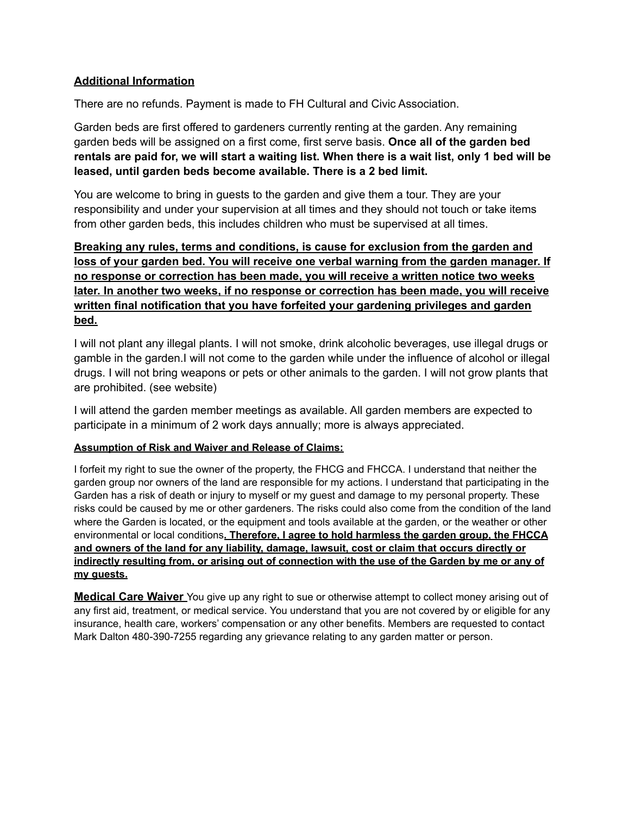#### **Additional Information**

There are no refunds. Payment is made to FH Cultural and Civic Association.

Garden beds are first offered to gardeners currently renting at the garden. Any remaining garden beds will be assigned on a first come, first serve basis. **Once all of the garden bed** rentals are paid for, we will start a waiting list. When there is a wait list, only 1 bed will be **leased, until garden beds become available. There is a 2 bed limit.**

You are welcome to bring in guests to the garden and give them a tour. They are your responsibility and under your supervision at all times and they should not touch or take items from other garden beds, this includes children who must be supervised at all times.

**Breaking any rules, terms and conditions, is cause for exclusion from the garden and loss of your garden bed. You will receive one verbal warning from the garden manager. If no response or correction has been made, you will receive a written notice two weeks later. In another two weeks, if no response or correction has been made, you will receive written final notification that you have forfeited your gardening privileges and garden bed.**

I will not plant any illegal plants. I will not smoke, drink alcoholic beverages, use illegal drugs or gamble in the garden.I will not come to the garden while under the influence of alcohol or illegal drugs. I will not bring weapons or pets or other animals to the garden. I will not grow plants that are prohibited. (see website)

I will attend the garden member meetings as available. All garden members are expected to participate in a minimum of 2 work days annually; more is always appreciated.

#### **Assumption of Risk and Waiver and Release of Claims:**

I forfeit my right to sue the owner of the property, the FHCG and FHCCA. I understand that neither the garden group nor owners of the land are responsible for my actions. I understand that participating in the Garden has a risk of death or injury to myself or my guest and damage to my personal property. These risks could be caused by me or other gardeners. The risks could also come from the condition of the land where the Garden is located, or the equipment and tools available at the garden, or the weather or other environmental or local conditions**. Therefore, I agree to hold harmless the garden group, the FHCCA and owners of the land for any liability, damage, lawsuit, cost or claim that occurs directly or** indirectly resulting from, or arising out of connection with the use of the Garden by me or any of **my guests.**

**Medical Care Waiver** You give up any right to sue or otherwise attempt to collect money arising out of any first aid, treatment, or medical service. You understand that you are not covered by or eligible for any insurance, health care, workers' compensation or any other benefits. Members are requested to contact Mark Dalton 480-390-7255 regarding any grievance relating to any garden matter or person.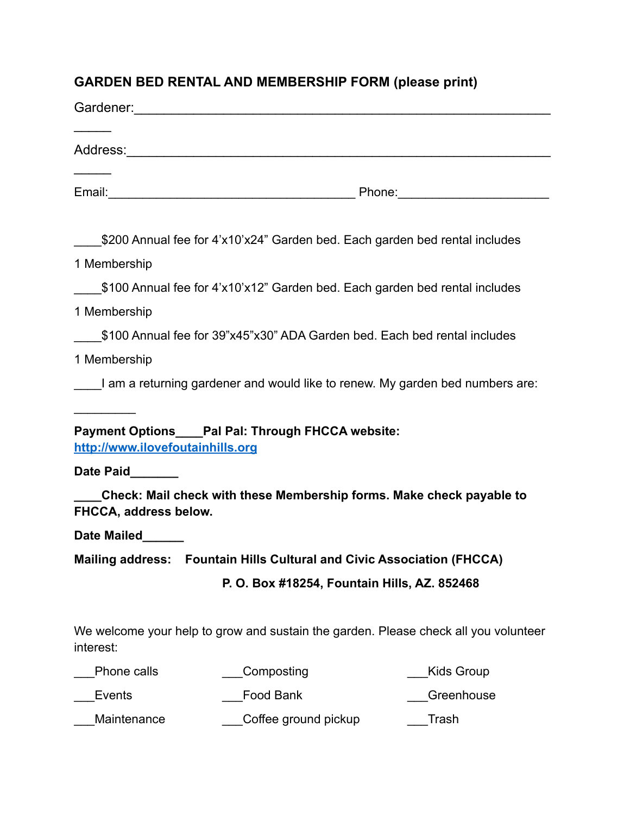# **GARDEN BED RENTAL AND MEMBERSHIP FORM (please print)**

|                                              | \$200 Annual fee for 4'x10'x24" Garden bed. Each garden bed rental includes         |                   |  |  |  |
|----------------------------------------------|-------------------------------------------------------------------------------------|-------------------|--|--|--|
| 1 Membership                                 |                                                                                     |                   |  |  |  |
|                                              | \$100 Annual fee for 4'x10'x12" Garden bed. Each garden bed rental includes         |                   |  |  |  |
| 1 Membership                                 |                                                                                     |                   |  |  |  |
|                                              | \$100 Annual fee for 39"x45"x30" ADA Garden bed. Each bed rental includes           |                   |  |  |  |
| 1 Membership                                 |                                                                                     |                   |  |  |  |
|                                              | I am a returning gardener and would like to renew. My garden bed numbers are:       |                   |  |  |  |
| http://www.ilovefoutainhills.org             | Payment Options____Pal Pal: Through FHCCA website:                                  |                   |  |  |  |
| Date Paid                                    |                                                                                     |                   |  |  |  |
| FHCCA, address below.                        | Check: Mail check with these Membership forms. Make check payable to                |                   |  |  |  |
| Date Mailed                                  |                                                                                     |                   |  |  |  |
| <b>Mailing address:</b>                      | <b>Fountain Hills Cultural and Civic Association (FHCCA)</b>                        |                   |  |  |  |
| P. O. Box #18254, Fountain Hills, AZ. 852468 |                                                                                     |                   |  |  |  |
|                                              |                                                                                     |                   |  |  |  |
| interest:                                    | We welcome your help to grow and sustain the garden. Please check all you volunteer |                   |  |  |  |
| Phone calls                                  | Composting                                                                          | <b>Kids Group</b> |  |  |  |
| Events                                       | Food Bank                                                                           | Greenhouse        |  |  |  |
| Maintenance                                  | Coffee ground pickup                                                                | Trash             |  |  |  |